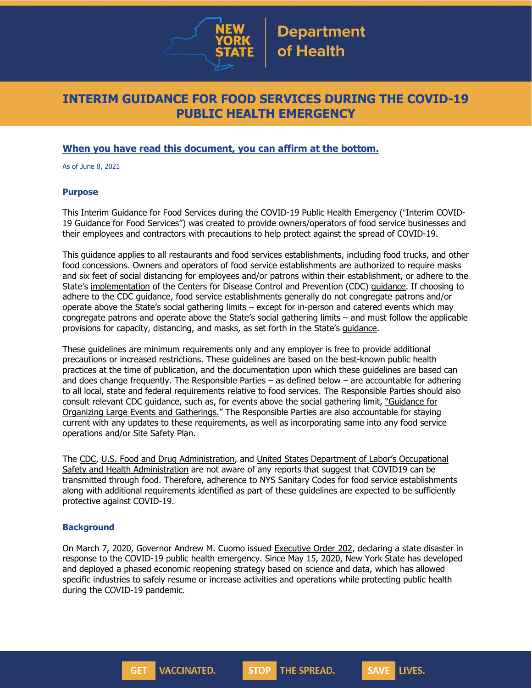

## **INTERIM GUIDANCE FOR FOOD SERVICES DURING THE COVID-19 PUBLIC HEALTH EMERGENCY**

## **When you have read this document, you can affirm at the bottom.**

As of June 8, 2021

#### **Purpose**

This Interim Guidance for Food Services during the COVID-19 Public Health Emergency ("Interim COVID-19 Guidance for Food Services") was created to provide owners/operators of food service businesses and their employees and contractors with precautions to help protect against the spread of COVID-19.

This guidance applies to all restaurants and food services establishments, including food trucks, and other food concessions. Owners and operators of food service establishments are authorized to require masks and six feet of social distancing for employees and/or patrons within their establishment, or adhere to the State's [implementation](https://www.governor.ny.gov/sites/default/files/2021-05/NYS_CDCGuidance_Summary.pdf) of the Centers for Disease Control and Prevention (CDC) [guidance.](https://www.cdc.gov/coronavirus/2019-ncov/vaccines/fully-vaccinated-guidance.html) If choosing to adhere to the CDC guidance, food service establishments generally do not congregate patrons and/or operate above the State's social gathering limits – except for in-person and catered events which may congregate patrons and operate above the State's social gathering limits – and must follow the applicable provisions for capacity, distancing, and masks, as set forth in the State's [guidance.](https://www.governor.ny.gov/sites/default/files/2021-05/NYS_CDCGuidance_Summary.pdf)

These guidelines are minimum requirements only and any employer is free to provide additional precautions or increased restrictions. These guidelines are based on the best-known public health practices at the time of publication, and the documentation upon which these guidelines are based can and does change frequently. The Responsible Parties – as defined below – are accountable for adhering to all local, state and federal requirements relative to food services. The Responsible Parties should also consult relevant CDC guidance, such as, for events above the social gathering limit, ["Guidance](https://www.cdc.gov/coronavirus/2019-ncov/community/large-events/considerations-for-events-gatherings.html) for Organizing Large Events and [Gatherings.](https://www.cdc.gov/coronavirus/2019-ncov/community/large-events/considerations-for-events-gatherings.html)" The Responsible Parties are also accountable for staying current with any updates to these requirements, as well as incorporating same into any food service operations and/or Site Safety Plan.

The [CDC,](https://www.cdc.gov/foodsafety/newsletter/food-safety-and-Coronavirus.html) U.S. Food and Drug [Administration,](https://www.fda.gov/food/food-safety-during-emergencies/food-safety-and-coronavirus-disease-2019-covid-19) and United States Department of Labor's [Occupational](https://www.osha.gov/Publications/OSHA3990.pdf) Safety and Health [Administration](https://www.osha.gov/Publications/OSHA3990.pdf) are not aware of any reports that suggest that COVID19 can be transmitted through food. Therefore, adherence to NYS Sanitary Codes for food service establishments along with additional requirements identified as part of these guidelines are expected to be sufficiently protective against COVID-19.

#### **Background**

On March 7, 2020, Governor Andrew M. Cuomo issued [Executive](https://www.governor.ny.gov/news/no-202-declaring-disaster-emergency-state-new-york) Order 202, declaring a state disaster in response to the COVID-19 public health emergency. Since May 15, 2020, New York State has developed and deployed a phased economic reopening strategy based on science and data, which has allowed specific industries to safely resume or increase activities and operations while protecting public health during the COVID-19 pandemic.

**STOP** 

THE SPREAD.

LIVES.

**SAVE** 

**VACCINATED.** 

**GET**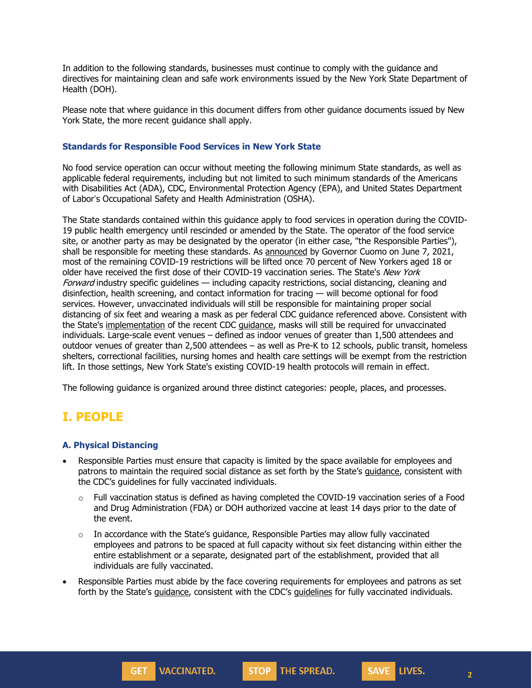In addition to the following standards, businesses must continue to comply with the guidance and directives for maintaining clean and safe work environments issued by the New York State Department of Health (DOH).

Please note that where guidance in this document differs from other guidance documents issued by New York State, the more recent guidance shall apply.

#### **Standards for Responsible Food Services in New York State**

No food service operation can occur without meeting the following minimum State standards, as well as applicable federal requirements, including but not limited to such minimum standards of the Americans with Disabilities Act (ADA), CDC, Environmental Protection Agency (EPA), and United States Department of Labor's Occupational Safety and Health Administration (OSHA).

The State standards contained within this guidance apply to food services in operation during the COVID-19 public health emergency until rescinded or amended by the State. The operator of the food service site, or another party as may be designated by the operator (in either case, "the Responsible Parties"), shall be responsible for meeting these standards. As [announced](https://www.governor.ny.gov/news/governor-cuomo-announces-most-remaining-covid-19-restrictions-be-lifted-when-70-adult-new) by Governor Cuomo on June 7, 2021, most of the remaining COVID-19 restrictions will be lifted once 70 percent of New Yorkers aged 18 or older have received the first dose of their COVID-19 vaccination series. The State's New York Forward industry specific guidelines — including capacity restrictions, social distancing, cleaning and disinfection, health screening, and contact information for tracing — will become optional for food services. However, unvaccinated individuals will still be responsible for maintaining proper social distancing of six feet and wearing a mask as per federal CDC guidance referenced above. Consistent with the State's [implementation](https://www.governor.ny.gov/sites/default/files/2021-05/NYS_CDCGuidance_Summary.pdf) of the recent CDC [guidance,](https://www.cdc.gov/coronavirus/2019-ncov/vaccines/fully-vaccinated-guidance.html) masks will still be required for unvaccinated individuals. Large-scale event venues – defined as indoor venues of greater than 1,500 attendees and outdoor venues of greater than 2,500 attendees – as well as Pre-K to 12 schools, public transit, homeless shelters, correctional facilities, nursing homes and health care settings will be exempt from the restriction lift. In those settings, New York State's existing COVID-19 health protocols will remain in effect.

The following guidance is organized around three distinct categories: people, places, and processes.

# **I. PEOPLE**

### **A. Physical Distancing**

- Responsible Parties must ensure that capacity is limited by the space available for employees and patrons to maintain the required social distance as set forth by the State's [guidance,](https://www.governor.ny.gov/sites/default/files/2021-05/NYS_CDCGuidance_Summary.pdf) consistent with the CDC's guidelines for fully vaccinated individuals.
	- $\circ$  Full vaccination status is defined as having completed the COVID-19 vaccination series of a Food and Drug Administration (FDA) or DOH authorized vaccine at least 14 days prior to the date of the event.
	- $\circ$  In accordance with the State's guidance, Responsible Parties may allow fully vaccinated employees and patrons to be spaced at full capacity without six feet distancing within either the entire establishment or a separate, designated part of the establishment, provided that all individuals are fully vaccinated.
- Responsible Parties must abide by the face covering requirements for employees and patrons as set forth by the State's [guidance,](https://www.governor.ny.gov/sites/default/files/2021-05/NYS_CDCGuidance_Summary.pdf) consistent with the CDC's [guidelines](https://www.cdc.gov/coronavirus/2019-ncov/vaccines/fully-vaccinated-guidance.html) for fully vaccinated individuals.



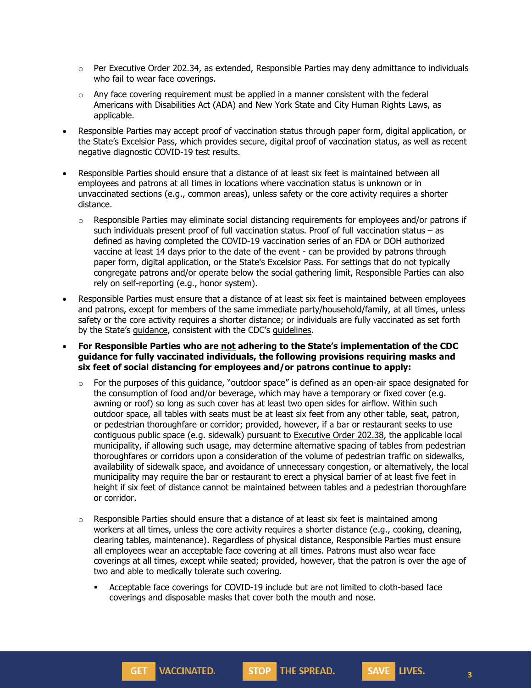- $\circ$  Per Executive Order 202.34, as extended, Responsible Parties may deny admittance to individuals who fail to wear face coverings.
- $\circ$  Any face covering requirement must be applied in a manner consistent with the federal Americans with Disabilities Act (ADA) and New York State and City Human Rights Laws, as applicable.
- Responsible Parties may accept proof of vaccination status through paper form, digital application, or the State's Excelsior Pass, which provides secure, digital proof of vaccination status, as well as recent negative diagnostic COVID-19 test results.
- Responsible Parties should ensure that a distance of at least six feet is maintained between all employees and patrons at all times in locations where vaccination status is unknown or in unvaccinated sections (e.g., common areas), unless safety or the core activity requires a shorter distance.
	- $\circ$  Responsible Parties may eliminate social distancing requirements for employees and/or patrons if such individuals present proof of full vaccination status. Proof of full vaccination status – as defined as having completed the COVID-19 vaccination series of an FDA or DOH authorized vaccine at least 14 days prior to the date of the event - can be provided by patrons through paper form, digital application, or the State's Excelsior Pass. For settings that do not typically congregate patrons and/or operate below the social gathering limit, Responsible Parties can also rely on self-reporting (e.g., honor system).
- Responsible Parties must ensure that a distance of at least six feet is maintained between employees and patrons, except for members of the same immediate party/household/family, at all times, unless safety or the core activity requires a shorter distance; or individuals are fully vaccinated as set forth by the State's [guidance,](https://www.governor.ny.gov/sites/default/files/2021-05/NYS_CDCGuidance_Summary.pdf) consistent with the CDC's [guidelines.](https://www.cdc.gov/coronavirus/2019-ncov/vaccines/fully-vaccinated-guidance.html)

• **For Responsible Parties who are not adhering to the State's implementation of the CDC guidance for fully vaccinated individuals, the following provisions requiring masks and six feet of social distancing for employees and/or patrons continue to apply:**

- For the purposes of this guidance, "outdoor space" is defined as an open-air space designated for the consumption of food and/or beverage, which may have a temporary or fixed cover (e.g. awning or roof) so long as such cover has at least two open sides for airflow. Within such outdoor space, all tables with seats must be at least six feet from any other table, seat, patron, or pedestrian thoroughfare or corridor; provided, however, if a bar or restaurant seeks to use contiguous public space (e.g. sidewalk) pursuant to [Executive](https://www.governor.ny.gov/news/no-20238-continuing-temporary-suspension-and-modification-laws-relating-disaster-emergency) Order 202.38, the applicable local municipality, if allowing such usage, may determine alternative spacing of tables from pedestrian thoroughfares or corridors upon a consideration of the volume of pedestrian traffic on sidewalks, availability of sidewalk space, and avoidance of unnecessary congestion, or alternatively, the local municipality may require the bar or restaurant to erect a physical barrier of at least five feet in height if six feet of distance cannot be maintained between tables and a pedestrian thoroughfare or corridor.
- $\circ$  Responsible Parties should ensure that a distance of at least six feet is maintained among workers at all times, unless the core activity requires a shorter distance (e.g., cooking, cleaning, clearing tables, maintenance). Regardless of physical distance, Responsible Parties must ensure all employees wear an acceptable face covering at all times. Patrons must also wear face coverings at all times, except while seated; provided, however, that the patron is over the age of two and able to medically tolerate such covering.
	- Acceptable face coverings for COVID-19 include but are not limited to cloth-based face coverings and disposable masks that cover both the mouth and nose.

**STOP** THE SPREAD.

**VACCINATED.** 

GET<sub>1</sub>

**3**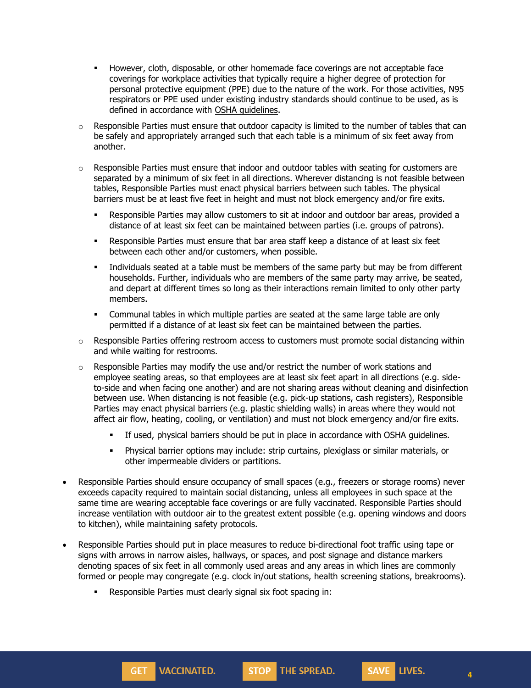- **■** However, cloth, disposable, or other homemade face coverings are not acceptable face coverings for workplace activities that typically require a higher degree of protection for personal protective equipment (PPE) due to the nature of the work. For those activities, N95 respirators or PPE used under existing industry standards should continue to be used, as is defined in accordance with OSHA [guidelines.](https://www.osha.gov/SLTC/personalprotectiveequipment/)
- $\circ$  Responsible Parties must ensure that outdoor capacity is limited to the number of tables that can be safely and appropriately arranged such that each table is a minimum of six feet away from another.
- $\circ$  Responsible Parties must ensure that indoor and outdoor tables with seating for customers are separated by a minimum of six feet in all directions. Wherever distancing is not feasible between tables, Responsible Parties must enact physical barriers between such tables. The physical barriers must be at least five feet in height and must not block emergency and/or fire exits.
	- **EXE** Responsible Parties may allow customers to sit at indoor and outdoor bar areas, provided a distance of at least six feet can be maintained between parties (i.e. groups of patrons).
	- **Responsible Parties must ensure that bar area staff keep a distance of at least six feet** between each other and/or customers, when possible.
	- **.** Individuals seated at a table must be members of the same party but may be from different households. Further, individuals who are members of the same party may arrive, be seated, and depart at different times so long as their interactions remain limited to only other party members.
	- Communal tables in which multiple parties are seated at the same large table are only permitted if a distance of at least six feet can be maintained between the parties.
- $\circ$  Responsible Parties offering restroom access to customers must promote social distancing within and while waiting for restrooms.
- $\circ$  Responsible Parties may modify the use and/or restrict the number of work stations and employee seating areas, so that employees are at least six feet apart in all directions (e.g. sideto-side and when facing one another) and are not sharing areas without cleaning and disinfection between use. When distancing is not feasible (e.g. pick-up stations, cash registers), Responsible Parties may enact physical barriers (e.g. plastic shielding walls) in areas where they would not affect air flow, heating, cooling, or ventilation) and must not block emergency and/or fire exits.
	- If used, physical barriers should be put in place in accordance with OSHA guidelines.
	- Physical barrier options may include: strip curtains, plexiglass or similar materials, or other impermeable dividers or partitions.
- Responsible Parties should ensure occupancy of small spaces (e.g., freezers or storage rooms) never exceeds capacity required to maintain social distancing, unless all employees in such space at the same time are wearing acceptable face coverings or are fully vaccinated. Responsible Parties should increase ventilation with outdoor air to the greatest extent possible (e.g. opening windows and doors to kitchen), while maintaining safety protocols.
- Responsible Parties should put in place measures to reduce bi-directional foot traffic using tape or signs with arrows in narrow aisles, hallways, or spaces, and post signage and distance markers denoting spaces of six feet in all commonly used areas and any areas in which lines are commonly formed or people may congregate (e.g. clock in/out stations, health screening stations, breakrooms).

**STOP** THE SPREAD.

▪ Responsible Parties must clearly signal six foot spacing in:

**VACCINATED.** 

**GET** 

**4**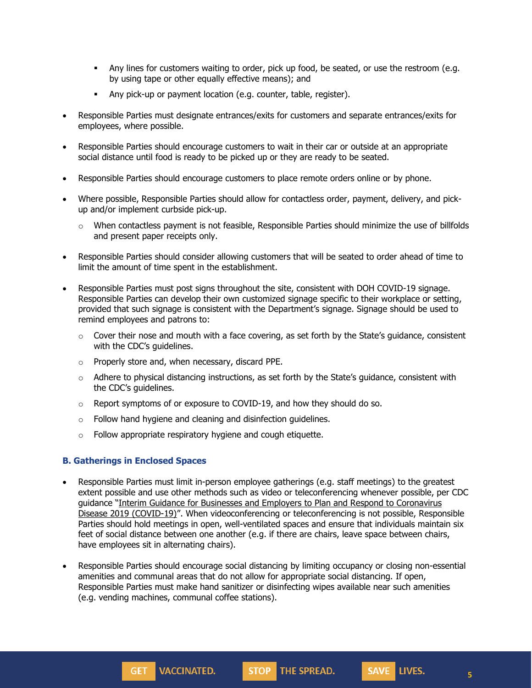- **Any lines for customers waiting to order, pick up food, be seated, or use the restroom (e.g.** by using tape or other equally effective means); and
- Any pick-up or payment location (e.g. counter, table, register).
- Responsible Parties must designate entrances/exits for customers and separate entrances/exits for employees, where possible.
- Responsible Parties should encourage customers to wait in their car or outside at an appropriate social distance until food is ready to be picked up or they are ready to be seated.
- Responsible Parties should encourage customers to place remote orders online or by phone.
- Where possible, Responsible Parties should allow for contactless order, payment, delivery, and pickup and/or implement curbside pick-up.
	- $\circ$  When contactless payment is not feasible, Responsible Parties should minimize the use of billfolds and present paper receipts only.
- Responsible Parties should consider allowing customers that will be seated to order ahead of time to limit the amount of time spent in the establishment.
- Responsible Parties must post signs throughout the site, consistent with DOH COVID-19 signage. Responsible Parties can develop their own customized signage specific to their workplace or setting, provided that such signage is consistent with the Department's signage. Signage should be used to remind employees and patrons to:
	- $\circ$  Cover their nose and mouth with a face covering, as set forth by the State's guidance, consistent with the CDC's guidelines.
	- o Properly store and, when necessary, discard PPE.
	- o Adhere to physical distancing instructions, as set forth by the State's guidance, consistent with the CDC's guidelines.
	- $\circ$  Report symptoms of or exposure to COVID-19, and how they should do so.
	- $\circ$  Follow hand hygiene and cleaning and disinfection guidelines.
	- o Follow appropriate respiratory hygiene and cough etiquette.

**VACCINATED.** 

GET<sub>1</sub>

### **B. Gatherings in Enclosed Spaces**

- Responsible Parties must limit in-person employee gatherings (e.g. staff meetings) to the greatest extent possible and use other methods such as video or teleconferencing whenever possible, per CDC guidance "Interim Guidance for Businesses and Employers to Plan and Respond to [Coronavirus](https://www.cdc.gov/coronavirus/2019-ncov/community/guidance-business-response.html) Disease 2019 [\(COVID-19\)](https://www.cdc.gov/coronavirus/2019-ncov/community/guidance-business-response.html)". When videoconferencing or teleconferencing is not possible, Responsible Parties should hold meetings in open, well-ventilated spaces and ensure that individuals maintain six feet of social distance between one another (e.g. if there are chairs, leave space between chairs, have employees sit in alternating chairs).
- Responsible Parties should encourage social distancing by limiting occupancy or closing non-essential amenities and communal areas that do not allow for appropriate social distancing. If open, Responsible Parties must make hand sanitizer or disinfecting wipes available near such amenities (e.g. vending machines, communal coffee stations).

STOP THE SPREAD.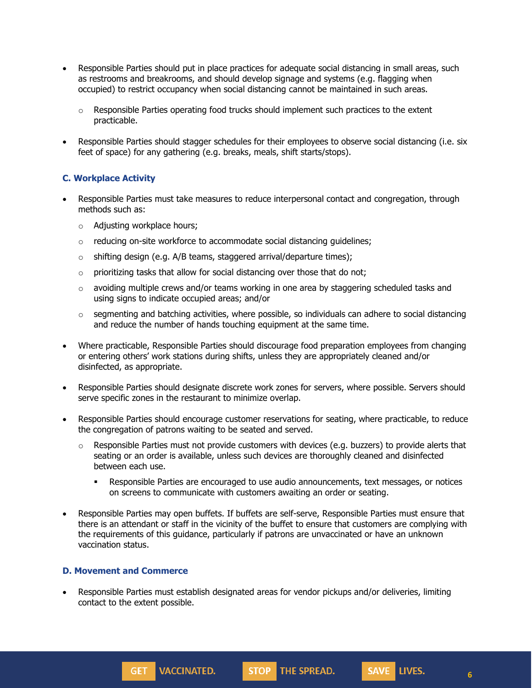- Responsible Parties should put in place practices for adequate social distancing in small areas, such as restrooms and breakrooms, and should develop signage and systems (e.g. flagging when occupied) to restrict occupancy when social distancing cannot be maintained in such areas.
	- $\circ$  Responsible Parties operating food trucks should implement such practices to the extent practicable.
- Responsible Parties should stagger schedules for their employees to observe social distancing (i.e. six feet of space) for any gathering (e.g. breaks, meals, shift starts/stops).

### **C. Workplace Activity**

- Responsible Parties must take measures to reduce interpersonal contact and congregation, through methods such as:
	- o Adjusting workplace hours;
	- o reducing on-site workforce to accommodate social distancing guidelines;
	- $\circ$  shifting design (e.g. A/B teams, staggered arrival/departure times);
	- $\circ$  prioritizing tasks that allow for social distancing over those that do not;
	- $\circ$  avoiding multiple crews and/or teams working in one area by staggering scheduled tasks and using signs to indicate occupied areas; and/or
	- $\circ$  segmenting and batching activities, where possible, so individuals can adhere to social distancing and reduce the number of hands touching equipment at the same time.
- Where practicable, Responsible Parties should discourage food preparation employees from changing or entering others' work stations during shifts, unless they are appropriately cleaned and/or disinfected, as appropriate.
- Responsible Parties should designate discrete work zones for servers, where possible. Servers should serve specific zones in the restaurant to minimize overlap.
- Responsible Parties should encourage customer reservations for seating, where practicable, to reduce the congregation of patrons waiting to be seated and served.
	- $\circ$  Responsible Parties must not provide customers with devices (e.g. buzzers) to provide alerts that seating or an order is available, unless such devices are thoroughly cleaned and disinfected between each use.
		- **Responsible Parties are encouraged to use audio announcements, text messages, or notices** on screens to communicate with customers awaiting an order or seating.
- Responsible Parties may open buffets. If buffets are self-serve, Responsible Parties must ensure that there is an attendant or staff in the vicinity of the buffet to ensure that customers are complying with the requirements of this guidance, particularly if patrons are unvaccinated or have an unknown vaccination status.

### **D. Movement and Commerce**

**GET VACCINATED.** 

• Responsible Parties must establish designated areas for vendor pickups and/or deliveries, limiting contact to the extent possible.

STOP THE SPREAD.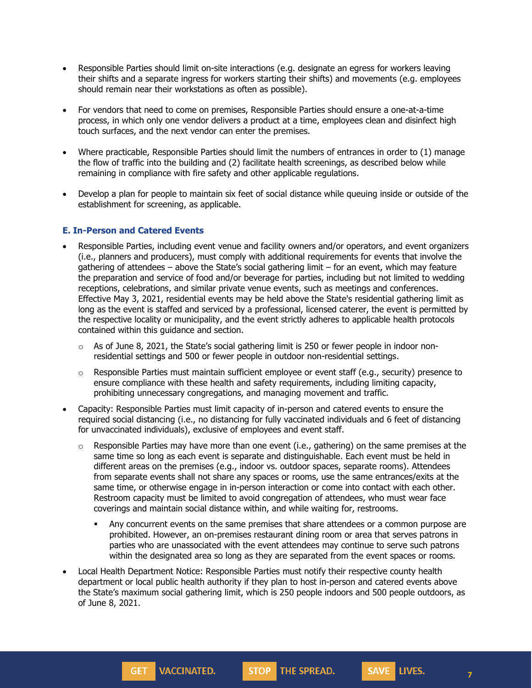- Responsible Parties should limit on-site interactions (e.g. designate an egress for workers leaving their shifts and a separate ingress for workers starting their shifts) and movements (e.g. employees should remain near their workstations as often as possible).
- For vendors that need to come on premises, Responsible Parties should ensure a one-at-a-time process, in which only one vendor delivers a product at a time, employees clean and disinfect high touch surfaces, and the next vendor can enter the premises.
- Where practicable, Responsible Parties should limit the numbers of entrances in order to (1) manage the flow of traffic into the building and (2) facilitate health screenings, as described below while remaining in compliance with fire safety and other applicable regulations.
- Develop a plan for people to maintain six feet of social distance while queuing inside or outside of the establishment for screening, as applicable.

#### **E. In-Person and Catered Events**

- Responsible Parties, including event venue and facility owners and/or operators, and event organizers (i.e., planners and producers), must comply with additional requirements for events that involve the gathering of attendees – above the State's social gathering limit – for an event, which may feature the preparation and service of food and/or beverage for parties, including but not limited to wedding receptions, celebrations, and similar private venue events, such as meetings and conferences. Effective May 3, 2021, residential events may be held above the State's residential gathering limit as long as the event is staffed and serviced by a professional, licensed caterer, the event is permitted by the respective locality or municipality, and the event strictly adheres to applicable health protocols contained within this guidance and section.
	- $\circ$  As of June 8, 2021, the State's social gathering limit is 250 or fewer people in indoor nonresidential settings and 500 or fewer people in outdoor non-residential settings.
	- o Responsible Parties must maintain sufficient employee or event staff (e.g., security) presence to ensure compliance with these health and safety requirements, including limiting capacity, prohibiting unnecessary congregations, and managing movement and traffic.
- Capacity: Responsible Parties must limit capacity of in-person and catered events to ensure the required social distancing (i.e., no distancing for fully vaccinated individuals and 6 feet of distancing for unvaccinated individuals), exclusive of employees and event staff.
	- $\circ$  Responsible Parties may have more than one event (i.e., gathering) on the same premises at the same time so long as each event is separate and distinguishable. Each event must be held in different areas on the premises (e.g., indoor vs. outdoor spaces, separate rooms). Attendees from separate events shall not share any spaces or rooms, use the same entrances/exits at the same time, or otherwise engage in in-person interaction or come into contact with each other. Restroom capacity must be limited to avoid congregation of attendees, who must wear face coverings and maintain social distance within, and while waiting for, restrooms.
		- Any concurrent events on the same premises that share attendees or a common purpose are prohibited. However, an on-premises restaurant dining room or area that serves patrons in parties who are unassociated with the event attendees may continue to serve such patrons within the designated area so long as they are separated from the event spaces or rooms.

**STOP** THE SPREAD.

• Local Health Department Notice: Responsible Parties must notify their respective county health department or local public health authority if they plan to host in-person and catered events above the State's maximum social gathering limit, which is 250 people indoors and 500 people outdoors, as of June 8, 2021.

**GET VACCINATED.**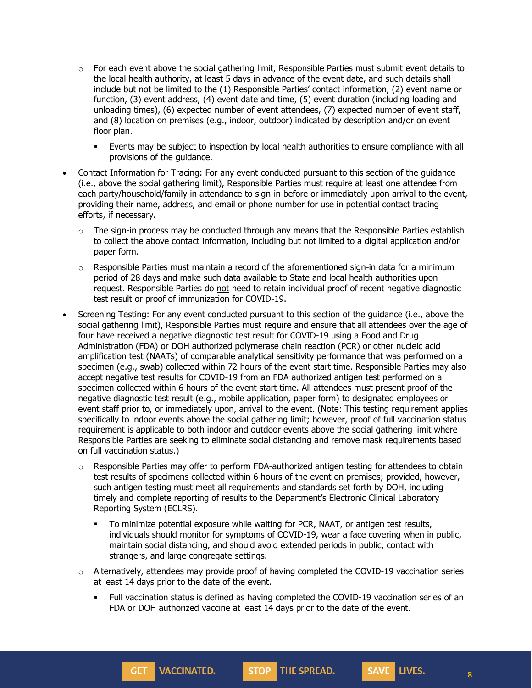- $\circ$  For each event above the social gathering limit, Responsible Parties must submit event details to the local health authority, at least 5 days in advance of the event date, and such details shall include but not be limited to the (1) Responsible Parties' contact information, (2) event name or function, (3) event address, (4) event date and time, (5) event duration (including loading and unloading times), (6) expected number of event attendees, (7) expected number of event staff, and (8) location on premises (e.g., indoor, outdoor) indicated by description and/or on event floor plan.
	- Events may be subject to inspection by local health authorities to ensure compliance with all provisions of the guidance.
- Contact Information for Tracing: For any event conducted pursuant to this section of the guidance (i.e., above the social gathering limit), Responsible Parties must require at least one attendee from each party/household/family in attendance to sign-in before or immediately upon arrival to the event, providing their name, address, and email or phone number for use in potential contact tracing efforts, if necessary.
	- $\circ$  The sign-in process may be conducted through any means that the Responsible Parties establish to collect the above contact information, including but not limited to a digital application and/or paper form.
	- $\circ$  Responsible Parties must maintain a record of the aforementioned sign-in data for a minimum period of 28 days and make such data available to State and local health authorities upon request. Responsible Parties do not need to retain individual proof of recent negative diagnostic test result or proof of immunization for COVID-19.
- Screening Testing: For any event conducted pursuant to this section of the guidance (i.e., above the social gathering limit), Responsible Parties must require and ensure that all attendees over the age of four have received a negative diagnostic test result for COVID-19 using a Food and Drug Administration (FDA) or DOH authorized polymerase chain reaction (PCR) or other nucleic acid amplification test (NAATs) of comparable analytical sensitivity performance that was performed on a specimen (e.g., swab) collected within 72 hours of the event start time. Responsible Parties may also accept negative test results for COVID-19 from an FDA authorized antigen test performed on a specimen collected within 6 hours of the event start time. All attendees must present proof of the negative diagnostic test result (e.g., mobile application, paper form) to designated employees or event staff prior to, or immediately upon, arrival to the event. (Note: This testing requirement applies specifically to indoor events above the social gathering limit; however, proof of full vaccination status requirement is applicable to both indoor and outdoor events above the social gathering limit where Responsible Parties are seeking to eliminate social distancing and remove mask requirements based on full vaccination status.)
	- $\circ$  Responsible Parties may offer to perform FDA-authorized antigen testing for attendees to obtain test results of specimens collected within 6 hours of the event on premises; provided, however, such antigen testing must meet all requirements and standards set forth by DOH, including timely and complete reporting of results to the Department's Electronic Clinical Laboratory Reporting System (ECLRS).
		- To minimize potential exposure while waiting for PCR, NAAT, or antigen test results, individuals should monitor for symptoms of COVID-19, wear a face covering when in public, maintain social distancing, and should avoid extended periods in public, contact with strangers, and large congregate settings.
	- $\circ$  Alternatively, attendees may provide proof of having completed the COVID-19 vaccination series at least 14 days prior to the date of the event.

**VACCINATED.** 

GET<sub>1</sub>

• Full vaccination status is defined as having completed the COVID-19 vaccination series of an FDA or DOH authorized vaccine at least 14 days prior to the date of the event.

**STOP** THE SPREAD.

**8**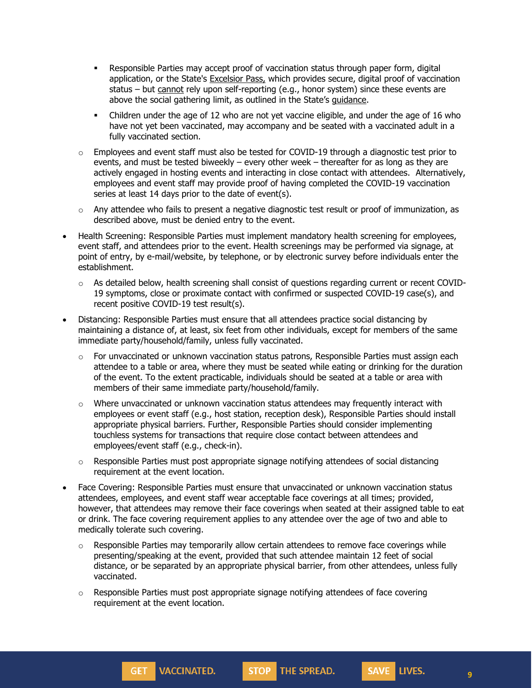- **Responsible Parties may accept proof of vaccination status through paper form, digital** application, or the State's [Excelsior](https://covid19vaccine.health.ny.gov/excelsior-pass) Pass, which provides secure, digital proof of vaccination status – but cannot rely upon self-reporting (e.g., honor system) since these events are above the social gathering limit, as outlined in the State's [guidance.](https://www.governor.ny.gov/sites/default/files/2021-05/NYS_CDCGuidance_Summary.pdf)
- Children under the age of 12 who are not yet vaccine eligible, and under the age of 16 who have not yet been vaccinated, may accompany and be seated with a vaccinated adult in a fully vaccinated section.
- $\circ$  Employees and event staff must also be tested for COVID-19 through a diagnostic test prior to events, and must be tested biweekly – every other week – thereafter for as long as they are actively engaged in hosting events and interacting in close contact with attendees. Alternatively, employees and event staff may provide proof of having completed the COVID-19 vaccination series at least 14 days prior to the date of event(s).
- o Any attendee who fails to present a negative diagnostic test result or proof of immunization, as described above, must be denied entry to the event.
- Health Screening: Responsible Parties must implement mandatory health screening for employees, event staff, and attendees prior to the event. Health screenings may be performed via signage, at point of entry, by e-mail/website, by telephone, or by electronic survey before individuals enter the establishment.
	- $\circ$  As detailed below, health screening shall consist of questions regarding current or recent COVID-19 symptoms, close or proximate contact with confirmed or suspected COVID-19 case(s), and recent positive COVID-19 test result(s).
- Distancing: Responsible Parties must ensure that all attendees practice social distancing by maintaining a distance of, at least, six feet from other individuals, except for members of the same immediate party/household/family, unless fully vaccinated.
	- $\circ$  For unvaccinated or unknown vaccination status patrons, Responsible Parties must assign each attendee to a table or area, where they must be seated while eating or drinking for the duration of the event. To the extent practicable, individuals should be seated at a table or area with members of their same immediate party/household/family.
	- $\circ$  Where unvaccinated or unknown vaccination status attendees may frequently interact with employees or event staff (e.g., host station, reception desk), Responsible Parties should install appropriate physical barriers. Further, Responsible Parties should consider implementing touchless systems for transactions that require close contact between attendees and employees/event staff (e.g., check-in).
	- $\circ$  Responsible Parties must post appropriate signage notifying attendees of social distancing requirement at the event location.
- Face Covering: Responsible Parties must ensure that unvaccinated or unknown vaccination status attendees, employees, and event staff wear acceptable face coverings at all times; provided, however, that attendees may remove their face coverings when seated at their assigned table to eat or drink. The face covering requirement applies to any attendee over the age of two and able to medically tolerate such covering.
	- o Responsible Parties may temporarily allow certain attendees to remove face coverings while presenting/speaking at the event, provided that such attendee maintain 12 feet of social distance, or be separated by an appropriate physical barrier, from other attendees, unless fully vaccinated.

STOP THE SPREAD.

 $\circ$  Responsible Parties must post appropriate signage notifying attendees of face covering requirement at the event location.

**VACCINATED.** 

**GET** 

**9**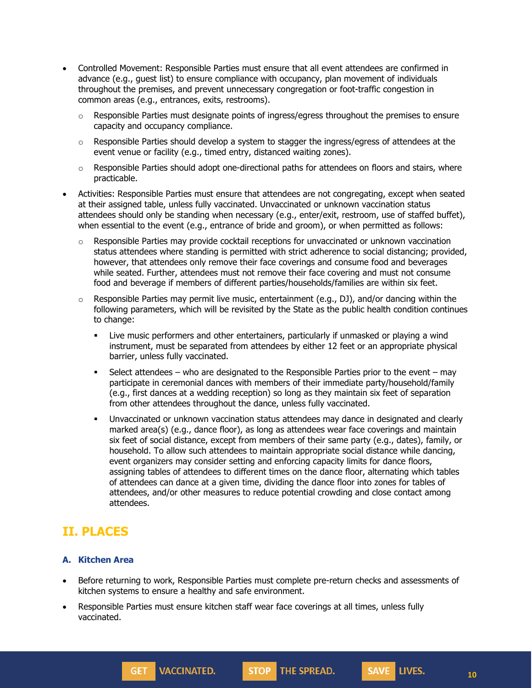- Controlled Movement: Responsible Parties must ensure that all event attendees are confirmed in advance (e.g., guest list) to ensure compliance with occupancy, plan movement of individuals throughout the premises, and prevent unnecessary congregation or foot-traffic congestion in common areas (e.g., entrances, exits, restrooms).
	- $\circ$  Responsible Parties must designate points of ingress/egress throughout the premises to ensure capacity and occupancy compliance.
	- $\circ$  Responsible Parties should develop a system to stagger the ingress/egress of attendees at the event venue or facility (e.g., timed entry, distanced waiting zones).
	- $\circ$  Responsible Parties should adopt one-directional paths for attendees on floors and stairs, where practicable.
- Activities: Responsible Parties must ensure that attendees are not congregating, except when seated at their assigned table, unless fully vaccinated. Unvaccinated or unknown vaccination status attendees should only be standing when necessary (e.g., enter/exit, restroom, use of staffed buffet), when essential to the event (e.g., entrance of bride and groom), or when permitted as follows:
	- $\circ$  Responsible Parties may provide cocktail receptions for unvaccinated or unknown vaccination status attendees where standing is permitted with strict adherence to social distancing; provided, however, that attendees only remove their face coverings and consume food and beverages while seated. Further, attendees must not remove their face covering and must not consume food and beverage if members of different parties/households/families are within six feet.
	- $\circ$  Responsible Parties may permit live music, entertainment (e.g., DJ), and/or dancing within the following parameters, which will be revisited by the State as the public health condition continues to change:
		- Live music performers and other entertainers, particularly if unmasked or playing a wind instrument, must be separated from attendees by either 12 feet or an appropriate physical barrier, unless fully vaccinated.
		- Select attendees who are designated to the Responsible Parties prior to the event may participate in ceremonial dances with members of their immediate party/household/family (e.g., first dances at a wedding reception) so long as they maintain six feet of separation from other attendees throughout the dance, unless fully vaccinated.
		- Unvaccinated or unknown vaccination status attendees may dance in designated and clearly marked area(s) (e.g., dance floor), as long as attendees wear face coverings and maintain six feet of social distance, except from members of their same party (e.g., dates), family, or household. To allow such attendees to maintain appropriate social distance while dancing, event organizers may consider setting and enforcing capacity limits for dance floors, assigning tables of attendees to different times on the dance floor, alternating which tables of attendees can dance at a given time, dividing the dance floor into zones for tables of attendees, and/or other measures to reduce potential crowding and close contact among attendees.

# **II. PLACES**

### **A. Kitchen Area**

• Before returning to work, Responsible Parties must complete pre-return checks and assessments of kitchen systems to ensure a healthy and safe environment.

**STOP** THE SPREAD.

Responsible Parties must ensure kitchen staff wear face coverings at all times, unless fully vaccinated.

**GET VACCINATED.**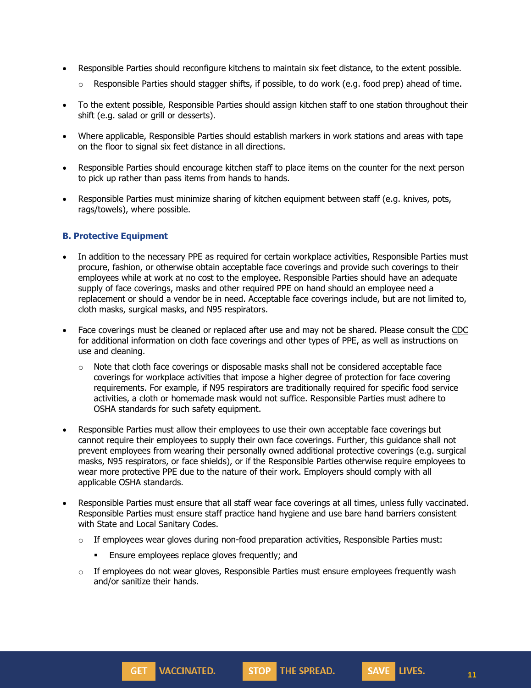- Responsible Parties should reconfigure kitchens to maintain six feet distance, to the extent possible.
	- $\circ$  Responsible Parties should stagger shifts, if possible, to do work (e.g. food prep) ahead of time.
- To the extent possible, Responsible Parties should assign kitchen staff to one station throughout their shift (e.g. salad or grill or desserts).
- Where applicable, Responsible Parties should establish markers in work stations and areas with tape on the floor to signal six feet distance in all directions.
- Responsible Parties should encourage kitchen staff to place items on the counter for the next person to pick up rather than pass items from hands to hands.
- Responsible Parties must minimize sharing of kitchen equipment between staff (e.g. knives, pots, rags/towels), where possible.

#### **B. Protective Equipment**

- In addition to the necessary PPE as required for certain workplace activities, Responsible Parties must procure, fashion, or otherwise obtain acceptable face coverings and provide such coverings to their employees while at work at no cost to the employee. Responsible Parties should have an adequate supply of face coverings, masks and other required PPE on hand should an employee need a replacement or should a vendor be in need. Acceptable face coverings include, but are not limited to, cloth masks, surgical masks, and N95 respirators.
- Face coverings must be cleaned or replaced after use and may not be shared. Please consult the [CDC](https://www.cdc.gov/coronavirus/2019-ncov/community/guidance-business-response.html) for additional information on cloth face coverings and other types of PPE, as well as instructions on use and cleaning.
	- $\circ$  Note that cloth face coverings or disposable masks shall not be considered acceptable face coverings for workplace activities that impose a higher degree of protection for face covering requirements. For example, if N95 respirators are traditionally required for specific food service activities, a cloth or homemade mask would not suffice. Responsible Parties must adhere to OSHA standards for such safety equipment.
- Responsible Parties must allow their employees to use their own acceptable face coverings but cannot require their employees to supply their own face coverings. Further, this guidance shall not prevent employees from wearing their personally owned additional protective coverings (e.g. surgical masks, N95 respirators, or face shields), or if the Responsible Parties otherwise require employees to wear more protective PPE due to the nature of their work. Employers should comply with all applicable OSHA standards.
- Responsible Parties must ensure that all staff wear face coverings at all times, unless fully vaccinated. Responsible Parties must ensure staff practice hand hygiene and use bare hand barriers consistent with State and Local Sanitary Codes.
	- o If employees wear gloves during non-food preparation activities, Responsible Parties must:
		- Ensure employees replace gloves frequently; and
	- $\circ$  If employees do not wear gloves, Responsible Parties must ensure employees frequently wash and/or sanitize their hands.



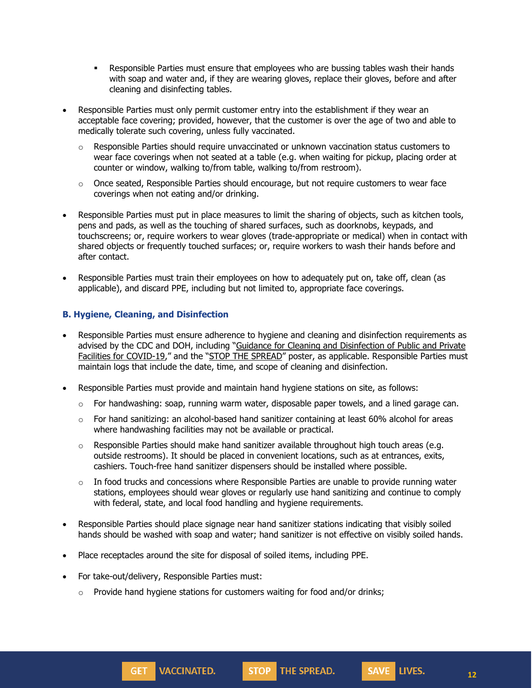- **Responsible Parties must ensure that employees who are bussing tables wash their hands** with soap and water and, if they are wearing gloves, replace their gloves, before and after cleaning and disinfecting tables.
- Responsible Parties must only permit customer entry into the establishment if they wear an acceptable face covering; provided, however, that the customer is over the age of two and able to medically tolerate such covering, unless fully vaccinated.
	- $\circ$  Responsible Parties should require unvaccinated or unknown vaccination status customers to wear face coverings when not seated at a table (e.g. when waiting for pickup, placing order at counter or window, walking to/from table, walking to/from restroom).
	- o Once seated, Responsible Parties should encourage, but not require customers to wear face coverings when not eating and/or drinking.
- Responsible Parties must put in place measures to limit the sharing of objects, such as kitchen tools, pens and pads, as well as the touching of shared surfaces, such as doorknobs, keypads, and touchscreens; or, require workers to wear gloves (trade-appropriate or medical) when in contact with shared objects or frequently touched surfaces; or, require workers to wash their hands before and after contact.
- Responsible Parties must train their employees on how to adequately put on, take off, clean (as applicable), and discard PPE, including but not limited to, appropriate face coverings.

### **B. Hygiene, Cleaning, and Disinfection**

- Responsible Parties must ensure adherence to hygiene and cleaning and disinfection requirements as advised by the CDC and DOH, including "Guidance for Cleaning and [Disinfection](https://coronavirus.health.ny.gov/system/files/documents/2020/03/cleaning_guidance_general_building.pdf) of Public and Private Facilities for [COVID-19](https://coronavirus.health.ny.gov/system/files/documents/2020/03/cleaning_guidance_general_building.pdf)," and the "STOP THE [SPREAD](https://coronavirus.health.ny.gov/system/files/documents/2020/04/13067_coronavirus_protectyourself_poster_042020.pdf)" poster, as applicable. Responsible Parties must maintain logs that include the date, time, and scope of cleaning and disinfection.
- Responsible Parties must provide and maintain hand hygiene stations on site, as follows:
	- $\circ$  For handwashing: soap, running warm water, disposable paper towels, and a lined garage can.
	- $\circ$  For hand sanitizing: an alcohol-based hand sanitizer containing at least 60% alcohol for areas where handwashing facilities may not be available or practical.
	- $\circ$  Responsible Parties should make hand sanitizer available throughout high touch areas (e.g. outside restrooms). It should be placed in convenient locations, such as at entrances, exits, cashiers. Touch-free hand sanitizer dispensers should be installed where possible.
	- $\circ$  In food trucks and concessions where Responsible Parties are unable to provide running water stations, employees should wear gloves or regularly use hand sanitizing and continue to comply with federal, state, and local food handling and hygiene requirements.
- Responsible Parties should place signage near hand sanitizer stations indicating that visibly soiled hands should be washed with soap and water; hand sanitizer is not effective on visibly soiled hands.
- Place receptacles around the site for disposal of soiled items, including PPE.
- For take-out/delivery, Responsible Parties must:
	- $\circ$  Provide hand hygiene stations for customers waiting for food and/or drinks;



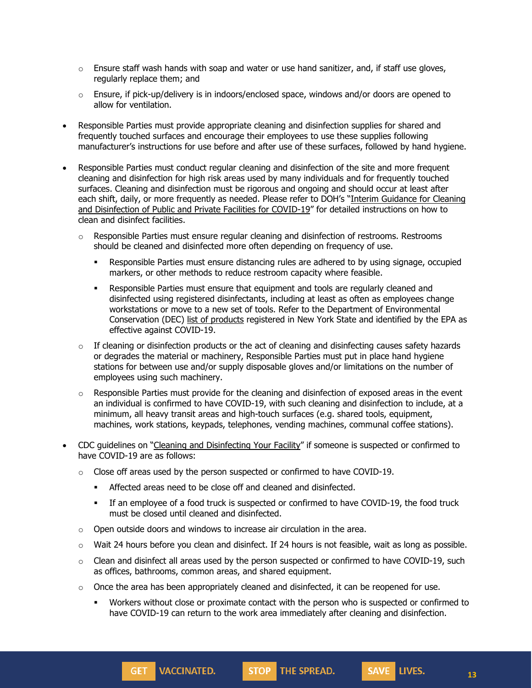- $\circ$  Ensure staff wash hands with soap and water or use hand sanitizer, and, if staff use gloves, regularly replace them; and
- $\circ$  Ensure, if pick-up/delivery is in indoors/enclosed space, windows and/or doors are opened to allow for ventilation.
- Responsible Parties must provide appropriate cleaning and disinfection supplies for shared and frequently touched surfaces and encourage their employees to use these supplies following manufacturer's instructions for use before and after use of these surfaces, followed by hand hygiene.
- Responsible Parties must conduct regular cleaning and disinfection of the site and more frequent cleaning and disinfection for high risk areas used by many individuals and for frequently touched surfaces. Cleaning and disinfection must be rigorous and ongoing and should occur at least after each shift, daily, or more frequently as needed. Please refer to DOH's "Interim [Guidance](https://coronavirus.health.ny.gov/system/files/documents/2020/03/cleaning_guidance_general_building.pdf) for Cleaning and [Disinfection](https://coronavirus.health.ny.gov/system/files/documents/2020/03/cleaning_guidance_general_building.pdf) of Public and Private Facilities for COVID-19" for detailed instructions on how to clean and disinfect facilities.
	- $\circ$  Responsible Parties must ensure regular cleaning and disinfection of restrooms. Restrooms should be cleaned and disinfected more often depending on frequency of use.
		- **•** Responsible Parties must ensure distancing rules are adhered to by using signage, occupied markers, or other methods to reduce restroom capacity where feasible.
		- **Responsible Parties must ensure that equipment and tools are regularly cleaned and** disinfected using registered disinfectants, including at least as often as employees change workstations or move to a new set of tools. Refer to the Department of Environmental Conservation (DEC) list of [products](http://www.dec.ny.gov/docs/materials_minerals_pdf/covid19.pdf) registered in New York State and identified by the EPA as effective against COVID-19.
	- $\circ$  If cleaning or disinfection products or the act of cleaning and disinfecting causes safety hazards or degrades the material or machinery, Responsible Parties must put in place hand hygiene stations for between use and/or supply disposable gloves and/or limitations on the number of employees using such machinery.
	- $\circ$  Responsible Parties must provide for the cleaning and disinfection of exposed areas in the event an individual is confirmed to have COVID-19, with such cleaning and disinfection to include, at a minimum, all heavy transit areas and high-touch surfaces (e.g. shared tools, equipment, machines, work stations, keypads, telephones, vending machines, communal coffee stations).
- CDC guidelines on "Cleaning and [Disinfecting](https://www.cdc.gov/coronavirus/2019-ncov/community/disinfecting-building-facility.html) Your Facility" if someone is suspected or confirmed to have COVID-19 are as follows:
	- $\circ$  Close off areas used by the person suspected or confirmed to have COVID-19.
		- Affected areas need to be close off and cleaned and disinfected.
		- If an employee of a food truck is suspected or confirmed to have COVID-19, the food truck must be closed until cleaned and disinfected.
	- o Open outside doors and windows to increase air circulation in the area.

**GET VACCINATED.** 

- o Wait 24 hours before you clean and disinfect. If 24 hours is not feasible, wait as long as possible.
- $\circ$  Clean and disinfect all areas used by the person suspected or confirmed to have COVID-19, such as offices, bathrooms, common areas, and shared equipment.
- $\circ$  Once the area has been appropriately cleaned and disinfected, it can be reopened for use.
	- Workers without close or proximate contact with the person who is suspected or confirmed to have COVID-19 can return to the work area immediately after cleaning and disinfection.

**STOP** THE SPREAD.

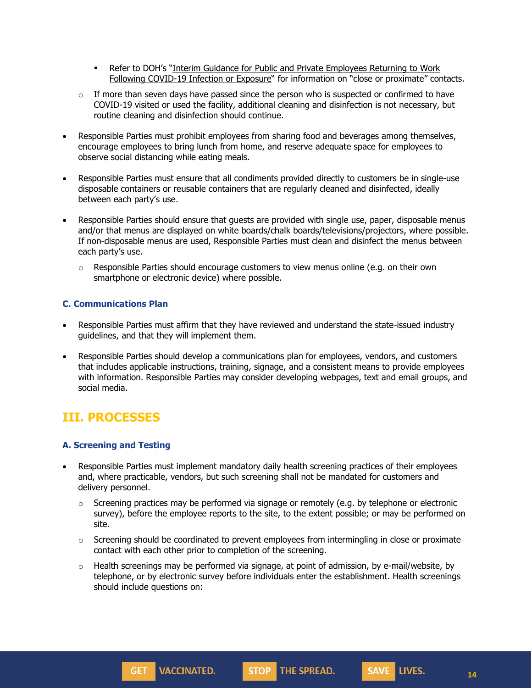- Refer to DOH's "Interim Guidance for Public and Private [Employees](https://coronavirus.health.ny.gov/system/files/documents/2020/06/doh_covid19_publicprivateemployeereturntowork_053120.pdf) Returning to Work Following [COVID-19](https://coronavirus.health.ny.gov/system/files/documents/2020/06/doh_covid19_publicprivateemployeereturntowork_053120.pdf) Infection or Exposure" for information on "close or proximate" contacts.
- $\circ$  If more than seven days have passed since the person who is suspected or confirmed to have COVID-19 visited or used the facility, additional cleaning and disinfection is not necessary, but routine cleaning and disinfection should continue.
- Responsible Parties must prohibit employees from sharing food and beverages among themselves, encourage employees to bring lunch from home, and reserve adequate space for employees to observe social distancing while eating meals.
- Responsible Parties must ensure that all condiments provided directly to customers be in single-use disposable containers or reusable containers that are regularly cleaned and disinfected, ideally between each party's use.
- Responsible Parties should ensure that guests are provided with single use, paper, disposable menus and/or that menus are displayed on white boards/chalk boards/televisions/projectors, where possible. If non-disposable menus are used, Responsible Parties must clean and disinfect the menus between each party's use.
	- $\circ$  Responsible Parties should encourage customers to view menus online (e.g. on their own smartphone or electronic device) where possible.

## **C. Communications Plan**

- Responsible Parties must affirm that they have reviewed and understand the state-issued industry guidelines, and that they will implement them.
- Responsible Parties should develop a communications plan for employees, vendors, and customers that includes applicable instructions, training, signage, and a consistent means to provide employees with information. Responsible Parties may consider developing webpages, text and email groups, and social media.

# **III. PROCESSES**

### **A. Screening and Testing**

- Responsible Parties must implement mandatory daily health screening practices of their employees and, where practicable, vendors, but such screening shall not be mandated for customers and delivery personnel.
	- $\circ$  Screening practices may be performed via signage or remotely (e.g. by telephone or electronic survey), before the employee reports to the site, to the extent possible; or may be performed on site.
	- o Screening should be coordinated to prevent employees from intermingling in close or proximate contact with each other prior to completion of the screening.
	- $\circ$  Health screenings may be performed via signage, at point of admission, by e-mail/website, by telephone, or by electronic survey before individuals enter the establishment. Health screenings should include questions on:



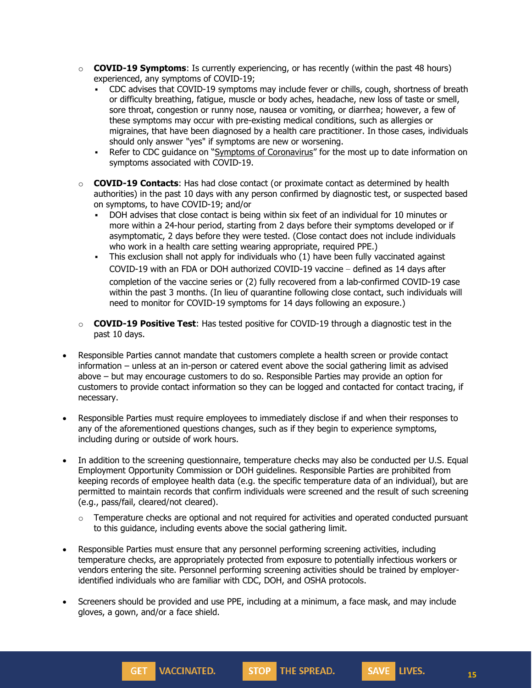- o **COVID-19 Symptoms**: Is currently experiencing, or has recently (within the past 48 hours) experienced, any symptoms of COVID-19;
	- CDC advises that COVID-19 symptoms may include fever or chills, cough, shortness of breath or difficulty breathing, fatigue, muscle or body aches, headache, new loss of taste or smell, sore throat, congestion or runny nose, nausea or vomiting, or diarrhea; however, a few of these symptoms may occur with pre-existing medical conditions, such as allergies or migraines, that have been diagnosed by a health care practitioner. In those cases, individuals should only answer "yes" if symptoms are new or worsening.
	- Refer to CDC guidance on "Symptoms of [Coronavirus](https://www.cdc.gov/coronavirus/2019-ncov/symptoms-testing/symptoms.html)" for the most up to date information on symptoms associated with COVID-19.
- o **COVID-19 Contacts**: Has had close contact (or proximate contact as determined by health authorities) in the past 10 days with any person confirmed by diagnostic test, or suspected based on symptoms, to have COVID-19; and/or
	- DOH advises that close contact is being within six feet of an individual for 10 minutes or more within a 24-hour period, starting from 2 days before their symptoms developed or if asymptomatic, 2 days before they were tested. (Close contact does not include individuals who work in a health care setting wearing appropriate, required PPE.)
	- This exclusion shall not apply for individuals who (1) have been fully vaccinated against COVID-19 with an FDA or DOH authorized COVID-19 vaccine – defined as 14 days after completion of the vaccine series or (2) fully recovered from a lab-confirmed COVID-19 case within the past 3 months. (In lieu of quarantine following close contact, such individuals will need to monitor for COVID-19 symptoms for 14 days following an exposure.)
- o **COVID-19 Positive Test**: Has tested positive for COVID-19 through a diagnostic test in the past 10 days.
- Responsible Parties cannot mandate that customers complete a health screen or provide contact information – unless at an in-person or catered event above the social gathering limit as advised above – but may encourage customers to do so. Responsible Parties may provide an option for customers to provide contact information so they can be logged and contacted for contact tracing, if necessary.
- Responsible Parties must require employees to immediately disclose if and when their responses to any of the aforementioned questions changes, such as if they begin to experience symptoms, including during or outside of work hours.
- In addition to the screening questionnaire, temperature checks may also be conducted per U.S. Equal Employment Opportunity Commission or DOH guidelines. Responsible Parties are prohibited from keeping records of employee health data (e.g. the specific temperature data of an individual), but are permitted to maintain records that confirm individuals were screened and the result of such screening (e.g., pass/fail, cleared/not cleared).
	- $\circ$  Temperature checks are optional and not required for activities and operated conducted pursuant to this guidance, including events above the social gathering limit.
- Responsible Parties must ensure that any personnel performing screening activities, including temperature checks, are appropriately protected from exposure to potentially infectious workers or vendors entering the site. Personnel performing screening activities should be trained by employeridentified individuals who are familiar with CDC, DOH, and OSHA protocols.
- Screeners should be provided and use PPE, including at a minimum, a face mask, and may include gloves, a gown, and/or a face shield.

**STOP** THE SPREAD.

**VACCINATED.** 

GET<sub>1</sub>

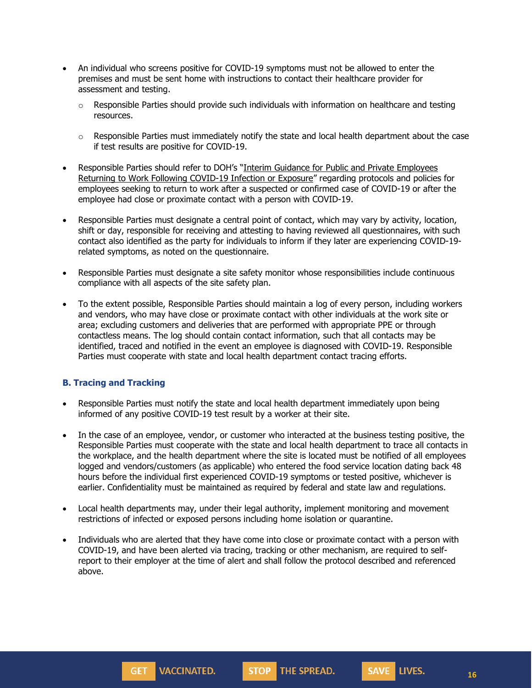- An individual who screens positive for COVID-19 symptoms must not be allowed to enter the premises and must be sent home with instructions to contact their healthcare provider for assessment and testing.
	- $\circ$  Responsible Parties should provide such individuals with information on healthcare and testing resources.
	- $\circ$  Responsible Parties must immediately notify the state and local health department about the case if test results are positive for COVID-19.
- Responsible Parties should refer to DOH's "Interim Guidance for Public and Private [Employees](https://coronavirus.health.ny.gov/system/files/documents/2020/06/doh_covid19_publicprivateemployeereturntowork_053120.pdf) Returning to Work Following [COVID-19](https://coronavirus.health.ny.gov/system/files/documents/2020/06/doh_covid19_publicprivateemployeereturntowork_053120.pdf) Infection or Exposure" regarding protocols and policies for employees seeking to return to work after a suspected or confirmed case of COVID-19 or after the employee had close or proximate contact with a person with COVID-19.
- Responsible Parties must designate a central point of contact, which may vary by activity, location, shift or day, responsible for receiving and attesting to having reviewed all questionnaires, with such contact also identified as the party for individuals to inform if they later are experiencing COVID-19 related symptoms, as noted on the questionnaire.
- Responsible Parties must designate a site safety monitor whose responsibilities include continuous compliance with all aspects of the site safety plan.
- To the extent possible, Responsible Parties should maintain a log of every person, including workers and vendors, who may have close or proximate contact with other individuals at the work site or area; excluding customers and deliveries that are performed with appropriate PPE or through contactless means. The log should contain contact information, such that all contacts may be identified, traced and notified in the event an employee is diagnosed with COVID-19. Responsible Parties must cooperate with state and local health department contact tracing efforts.

### **B. Tracing and Tracking**

- Responsible Parties must notify the state and local health department immediately upon being informed of any positive COVID-19 test result by a worker at their site.
- In the case of an employee, vendor, or customer who interacted at the business testing positive, the Responsible Parties must cooperate with the state and local health department to trace all contacts in the workplace, and the health department where the site is located must be notified of all employees logged and vendors/customers (as applicable) who entered the food service location dating back 48 hours before the individual first experienced COVID-19 symptoms or tested positive, whichever is earlier. Confidentiality must be maintained as required by federal and state law and regulations.
- Local health departments may, under their legal authority, implement monitoring and movement restrictions of infected or exposed persons including home isolation or quarantine.
- Individuals who are alerted that they have come into close or proximate contact with a person with COVID-19, and have been alerted via tracing, tracking or other mechanism, are required to selfreport to their employer at the time of alert and shall follow the protocol described and referenced above.



GET<sub>1</sub>